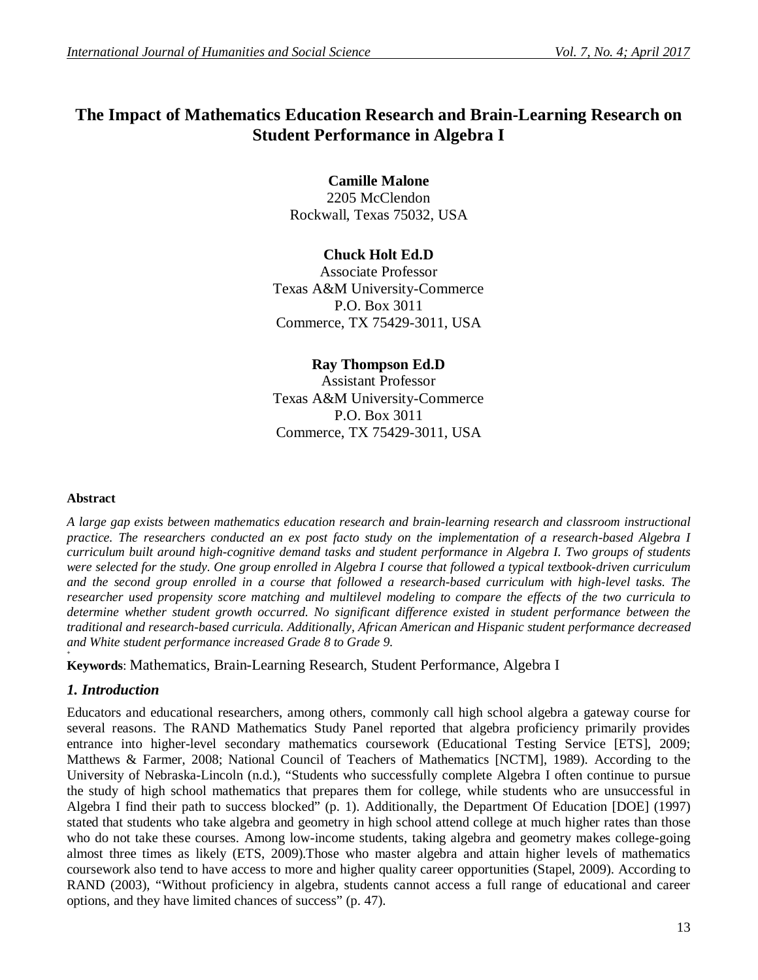# **The Impact of Mathematics Education Research and Brain-Learning Research on Student Performance in Algebra I**

# **Camille Malone** 2205 McClendon Rockwall, Texas 75032, USA

# **Chuck Holt Ed.D**

Associate Professor Texas A&M University-Commerce P.O. Box 3011 Commerce, TX 75429-3011, USA

### **Ray Thompson Ed.D**

Assistant Professor Texas A&M University-Commerce P.O. Box 3011 Commerce, TX 75429-3011, USA

#### **Abstract**

*A large gap exists between mathematics education research and brain-learning research and classroom instructional*  practice. The researchers conducted an ex post facto study on the implementation of a research-based Algebra I *curriculum built around high-cognitive demand tasks and student performance in Algebra I. Two groups of students were selected for the study. One group enrolled in Algebra I course that followed a typical textbook-driven curriculum and the second group enrolled in a course that followed a research-based curriculum with high-level tasks. The researcher used propensity score matching and multilevel modeling to compare the effects of the two curricula to determine whether student growth occurred. No significant difference existed in student performance between the traditional and research-based curricula. Additionally, African American and Hispanic student performance decreased and White student performance increased Grade 8 to Grade 9.*

**Keywords**: Mathematics, Brain-Learning Research, Student Performance, Algebra I

# *1. Introduction*

**+**

Educators and educational researchers, among others, commonly call high school algebra a gateway course for several reasons. The RAND Mathematics Study Panel reported that algebra proficiency primarily provides entrance into higher-level secondary mathematics coursework (Educational Testing Service [ETS], 2009; Matthews & Farmer, 2008; National Council of Teachers of Mathematics [NCTM], 1989). According to the University of Nebraska-Lincoln (n.d.), "Students who successfully complete Algebra I often continue to pursue the study of high school mathematics that prepares them for college, while students who are unsuccessful in Algebra I find their path to success blocked" (p. 1). Additionally, the Department Of Education [DOE] (1997) stated that students who take algebra and geometry in high school attend college at much higher rates than those who do not take these courses. Among low-income students, taking algebra and geometry makes college-going almost three times as likely (ETS, 2009).Those who master algebra and attain higher levels of mathematics coursework also tend to have access to more and higher quality career opportunities (Stapel, 2009). According to RAND (2003), "Without proficiency in algebra, students cannot access a full range of educational and career options, and they have limited chances of success" (p. 47).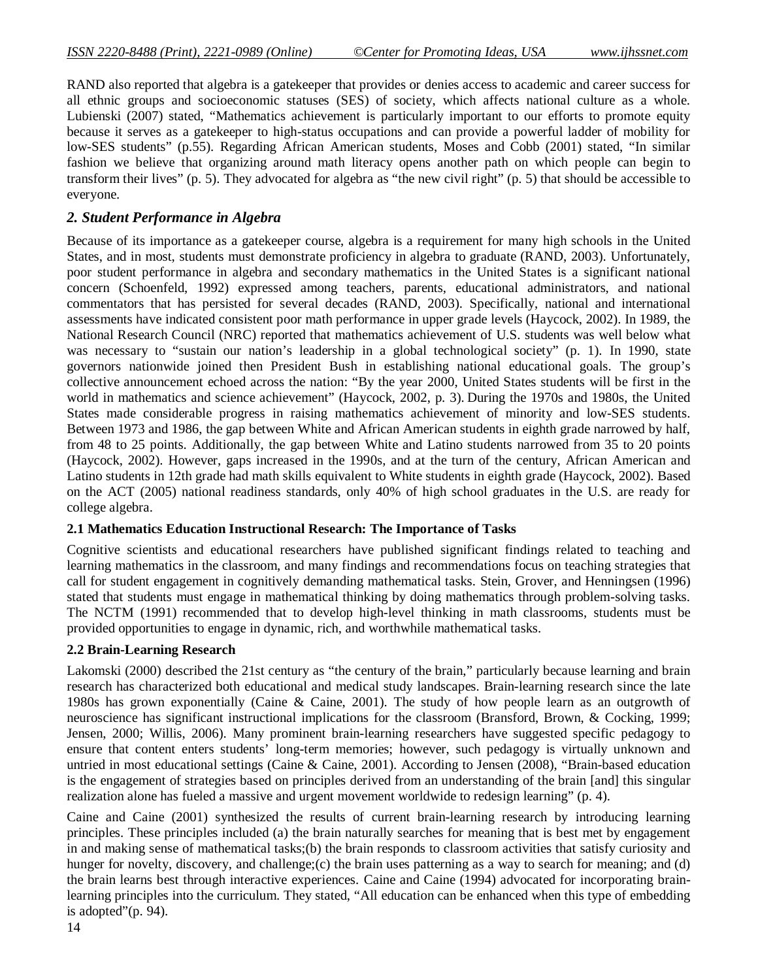RAND also reported that algebra is a gatekeeper that provides or denies access to academic and career success for all ethnic groups and socioeconomic statuses (SES) of society, which affects national culture as a whole. Lubienski (2007) stated, "Mathematics achievement is particularly important to our efforts to promote equity because it serves as a gatekeeper to high-status occupations and can provide a powerful ladder of mobility for low-SES students" (p.55). Regarding African American students, Moses and Cobb (2001) stated, "In similar fashion we believe that organizing around math literacy opens another path on which people can begin to transform their lives" (p. 5). They advocated for algebra as "the new civil right" (p. 5) that should be accessible to everyone.

### *2. Student Performance in Algebra*

Because of its importance as a gatekeeper course, algebra is a requirement for many high schools in the United States, and in most, students must demonstrate proficiency in algebra to graduate (RAND, 2003). Unfortunately, poor student performance in algebra and secondary mathematics in the United States is a significant national concern (Schoenfeld, 1992) expressed among teachers, parents, educational administrators, and national commentators that has persisted for several decades (RAND, 2003). Specifically, national and international assessments have indicated consistent poor math performance in upper grade levels (Haycock, 2002). In 1989, the National Research Council (NRC) reported that mathematics achievement of U.S. students was well below what was necessary to "sustain our nation's leadership in a global technological society" (p. 1). In 1990, state governors nationwide joined then President Bush in establishing national educational goals. The group's collective announcement echoed across the nation: "By the year 2000, United States students will be first in the world in mathematics and science achievement" (Haycock, 2002, p. 3). During the 1970s and 1980s, the United States made considerable progress in raising mathematics achievement of minority and low-SES students. Between 1973 and 1986, the gap between White and African American students in eighth grade narrowed by half, from 48 to 25 points. Additionally, the gap between White and Latino students narrowed from 35 to 20 points (Haycock, 2002). However, gaps increased in the 1990s, and at the turn of the century, African American and Latino students in 12th grade had math skills equivalent to White students in eighth grade (Haycock, 2002). Based on the ACT (2005) national readiness standards, only 40% of high school graduates in the U.S. are ready for college algebra.

#### **2.1 Mathematics Education Instructional Research: The Importance of Tasks**

Cognitive scientists and educational researchers have published significant findings related to teaching and learning mathematics in the classroom, and many findings and recommendations focus on teaching strategies that call for student engagement in cognitively demanding mathematical tasks. Stein, Grover, and Henningsen (1996) stated that students must engage in mathematical thinking by doing mathematics through problem-solving tasks. The NCTM (1991) recommended that to develop high-level thinking in math classrooms, students must be provided opportunities to engage in dynamic, rich, and worthwhile mathematical tasks.

#### **2.2 Brain-Learning Research**

Lakomski (2000) described the 21st century as "the century of the brain," particularly because learning and brain research has characterized both educational and medical study landscapes. Brain-learning research since the late 1980s has grown exponentially (Caine & Caine, 2001). The study of how people learn as an outgrowth of neuroscience has significant instructional implications for the classroom (Bransford, Brown, & Cocking, 1999; Jensen, 2000; Willis, 2006). Many prominent brain-learning researchers have suggested specific pedagogy to ensure that content enters students' long-term memories; however, such pedagogy is virtually unknown and untried in most educational settings (Caine & Caine, 2001). According to Jensen (2008), "Brain-based education is the engagement of strategies based on principles derived from an understanding of the brain [and] this singular realization alone has fueled a massive and urgent movement worldwide to redesign learning" (p. 4).

Caine and Caine (2001) synthesized the results of current brain-learning research by introducing learning principles. These principles included (a) the brain naturally searches for meaning that is best met by engagement in and making sense of mathematical tasks;(b) the brain responds to classroom activities that satisfy curiosity and hunger for novelty, discovery, and challenge;(c) the brain uses patterning as a way to search for meaning; and (d) the brain learns best through interactive experiences. Caine and Caine (1994) advocated for incorporating brainlearning principles into the curriculum. They stated, "All education can be enhanced when this type of embedding is adopted"(p. 94).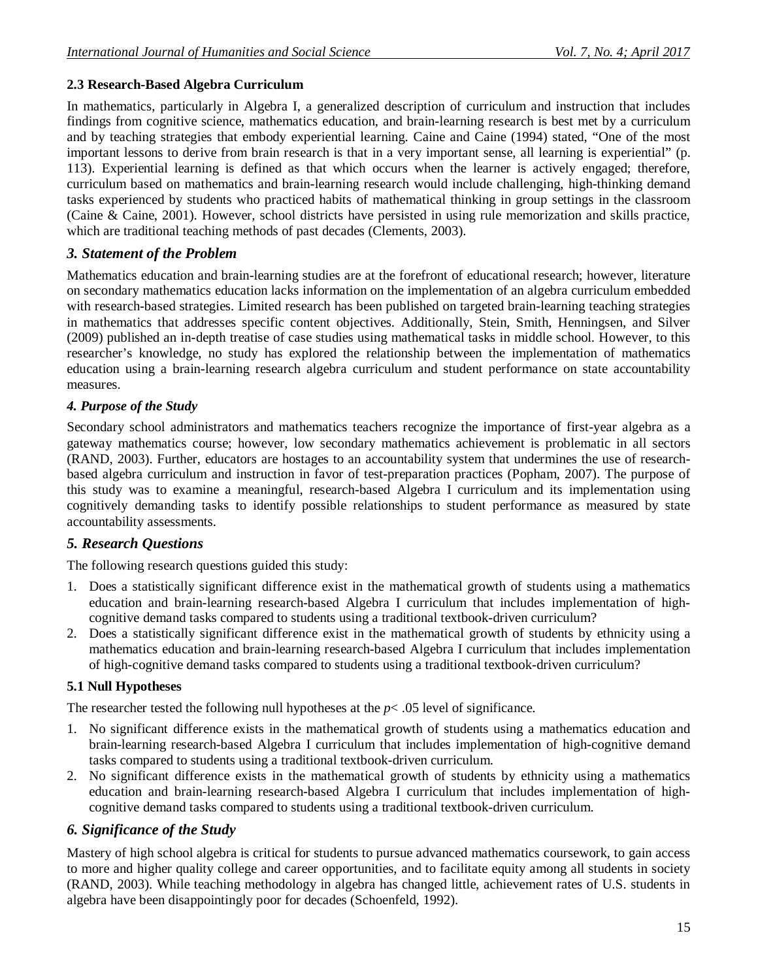### **2.3 Research-Based Algebra Curriculum**

In mathematics, particularly in Algebra I, a generalized description of curriculum and instruction that includes findings from cognitive science, mathematics education, and brain-learning research is best met by a curriculum and by teaching strategies that embody experiential learning. Caine and Caine (1994) stated, "One of the most important lessons to derive from brain research is that in a very important sense, all learning is experiential" (p. 113). Experiential learning is defined as that which occurs when the learner is actively engaged; therefore, curriculum based on mathematics and brain-learning research would include challenging, high-thinking demand tasks experienced by students who practiced habits of mathematical thinking in group settings in the classroom (Caine & Caine, 2001). However, school districts have persisted in using rule memorization and skills practice, which are traditional teaching methods of past decades (Clements, 2003).

### *3. Statement of the Problem*

Mathematics education and brain-learning studies are at the forefront of educational research; however, literature on secondary mathematics education lacks information on the implementation of an algebra curriculum embedded with research-based strategies. Limited research has been published on targeted brain-learning teaching strategies in mathematics that addresses specific content objectives. Additionally, Stein, Smith, Henningsen, and Silver (2009) published an in-depth treatise of case studies using mathematical tasks in middle school. However, to this researcher's knowledge, no study has explored the relationship between the implementation of mathematics education using a brain-learning research algebra curriculum and student performance on state accountability measures.

### *4. Purpose of the Study*

Secondary school administrators and mathematics teachers recognize the importance of first-year algebra as a gateway mathematics course; however, low secondary mathematics achievement is problematic in all sectors (RAND, 2003). Further, educators are hostages to an accountability system that undermines the use of researchbased algebra curriculum and instruction in favor of test-preparation practices (Popham, 2007). The purpose of this study was to examine a meaningful, research-based Algebra I curriculum and its implementation using cognitively demanding tasks to identify possible relationships to student performance as measured by state accountability assessments.

# *5. Research Questions*

The following research questions guided this study:

- 1. Does a statistically significant difference exist in the mathematical growth of students using a mathematics education and brain-learning research-based Algebra I curriculum that includes implementation of highcognitive demand tasks compared to students using a traditional textbook-driven curriculum?
- 2. Does a statistically significant difference exist in the mathematical growth of students by ethnicity using a mathematics education and brain-learning research-based Algebra I curriculum that includes implementation of high-cognitive demand tasks compared to students using a traditional textbook-driven curriculum?

### **5.1 Null Hypotheses**

The researcher tested the following null hypotheses at the  $p$ < .05 level of significance.

- 1. No significant difference exists in the mathematical growth of students using a mathematics education and brain-learning research-based Algebra I curriculum that includes implementation of high-cognitive demand tasks compared to students using a traditional textbook-driven curriculum.
- 2. No significant difference exists in the mathematical growth of students by ethnicity using a mathematics education and brain-learning research-based Algebra I curriculum that includes implementation of highcognitive demand tasks compared to students using a traditional textbook-driven curriculum.

### *6. Significance of the Study*

Mastery of high school algebra is critical for students to pursue advanced mathematics coursework, to gain access to more and higher quality college and career opportunities, and to facilitate equity among all students in society (RAND, 2003). While teaching methodology in algebra has changed little, achievement rates of U.S. students in algebra have been disappointingly poor for decades (Schoenfeld, 1992).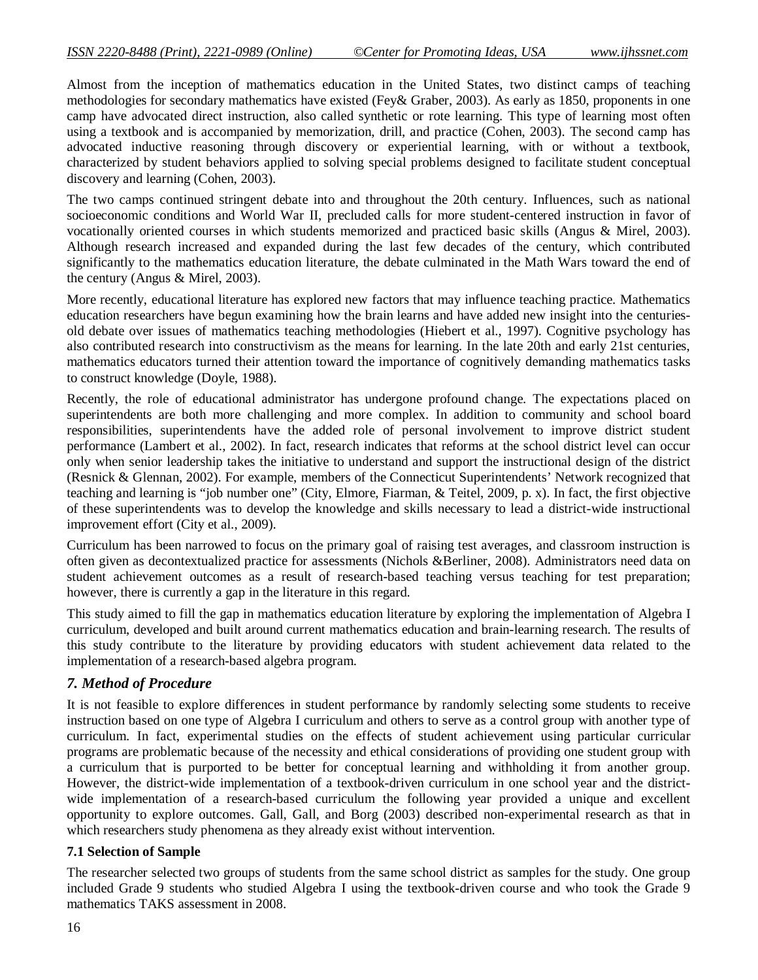Almost from the inception of mathematics education in the United States, two distinct camps of teaching methodologies for secondary mathematics have existed (Fey& Graber, 2003). As early as 1850, proponents in one camp have advocated direct instruction, also called synthetic or rote learning. This type of learning most often using a textbook and is accompanied by memorization, drill, and practice (Cohen, 2003). The second camp has advocated inductive reasoning through discovery or experiential learning, with or without a textbook, characterized by student behaviors applied to solving special problems designed to facilitate student conceptual discovery and learning (Cohen, 2003).

The two camps continued stringent debate into and throughout the 20th century. Influences, such as national socioeconomic conditions and World War II, precluded calls for more student-centered instruction in favor of vocationally oriented courses in which students memorized and practiced basic skills (Angus & Mirel, 2003). Although research increased and expanded during the last few decades of the century, which contributed significantly to the mathematics education literature, the debate culminated in the Math Wars toward the end of the century (Angus & Mirel, 2003).

More recently, educational literature has explored new factors that may influence teaching practice. Mathematics education researchers have begun examining how the brain learns and have added new insight into the centuriesold debate over issues of mathematics teaching methodologies (Hiebert et al., 1997). Cognitive psychology has also contributed research into constructivism as the means for learning. In the late 20th and early 21st centuries, mathematics educators turned their attention toward the importance of cognitively demanding mathematics tasks to construct knowledge (Doyle, 1988).

Recently, the role of educational administrator has undergone profound change. The expectations placed on superintendents are both more challenging and more complex. In addition to community and school board responsibilities, superintendents have the added role of personal involvement to improve district student performance (Lambert et al., 2002). In fact, research indicates that reforms at the school district level can occur only when senior leadership takes the initiative to understand and support the instructional design of the district (Resnick & Glennan, 2002). For example, members of the Connecticut Superintendents' Network recognized that teaching and learning is "job number one" (City, Elmore, Fiarman, & Teitel, 2009, p. x). In fact, the first objective of these superintendents was to develop the knowledge and skills necessary to lead a district-wide instructional improvement effort (City et al., 2009).

Curriculum has been narrowed to focus on the primary goal of raising test averages, and classroom instruction is often given as decontextualized practice for assessments (Nichols &Berliner, 2008). Administrators need data on student achievement outcomes as a result of research-based teaching versus teaching for test preparation; however, there is currently a gap in the literature in this regard.

This study aimed to fill the gap in mathematics education literature by exploring the implementation of Algebra I curriculum, developed and built around current mathematics education and brain-learning research. The results of this study contribute to the literature by providing educators with student achievement data related to the implementation of a research-based algebra program.

### *7. Method of Procedure*

It is not feasible to explore differences in student performance by randomly selecting some students to receive instruction based on one type of Algebra I curriculum and others to serve as a control group with another type of curriculum. In fact, experimental studies on the effects of student achievement using particular curricular programs are problematic because of the necessity and ethical considerations of providing one student group with a curriculum that is purported to be better for conceptual learning and withholding it from another group. However, the district-wide implementation of a textbook-driven curriculum in one school year and the districtwide implementation of a research-based curriculum the following year provided a unique and excellent opportunity to explore outcomes. Gall, Gall, and Borg (2003) described non-experimental research as that in which researchers study phenomena as they already exist without intervention.

### **7.1 Selection of Sample**

The researcher selected two groups of students from the same school district as samples for the study. One group included Grade 9 students who studied Algebra I using the textbook-driven course and who took the Grade 9 mathematics TAKS assessment in 2008.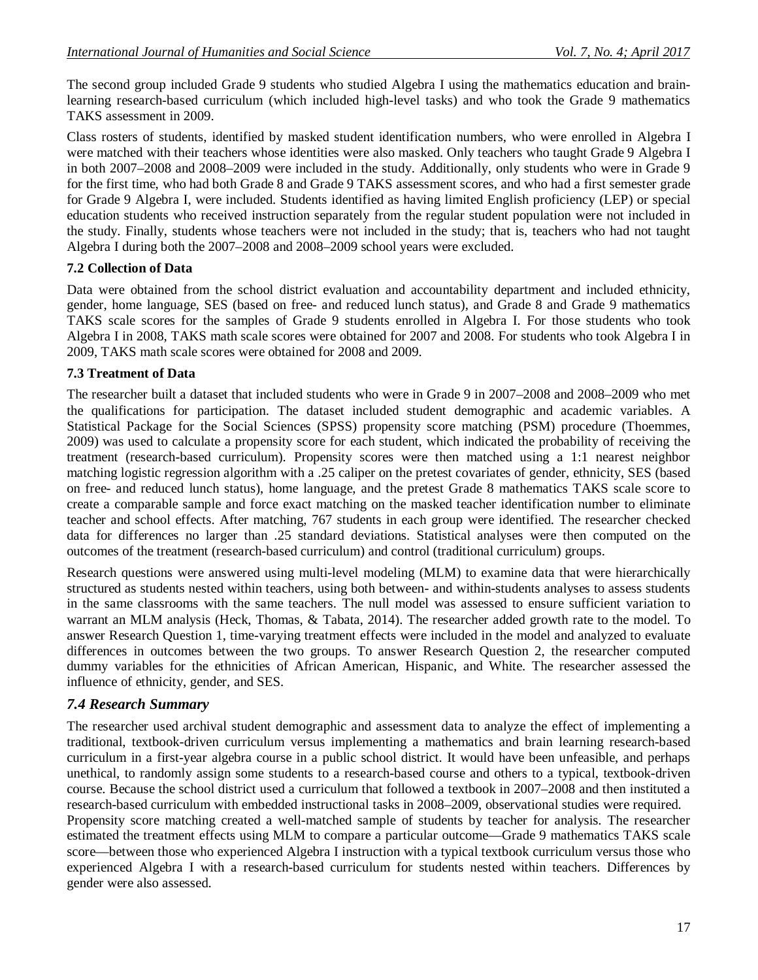The second group included Grade 9 students who studied Algebra I using the mathematics education and brainlearning research-based curriculum (which included high-level tasks) and who took the Grade 9 mathematics TAKS assessment in 2009.

Class rosters of students, identified by masked student identification numbers, who were enrolled in Algebra I were matched with their teachers whose identities were also masked. Only teachers who taught Grade 9 Algebra I in both 2007–2008 and 2008–2009 were included in the study. Additionally, only students who were in Grade 9 for the first time, who had both Grade 8 and Grade 9 TAKS assessment scores, and who had a first semester grade for Grade 9 Algebra I, were included. Students identified as having limited English proficiency (LEP) or special education students who received instruction separately from the regular student population were not included in the study. Finally, students whose teachers were not included in the study; that is, teachers who had not taught Algebra I during both the 2007–2008 and 2008–2009 school years were excluded.

### **7.2 Collection of Data**

Data were obtained from the school district evaluation and accountability department and included ethnicity, gender, home language, SES (based on free- and reduced lunch status), and Grade 8 and Grade 9 mathematics TAKS scale scores for the samples of Grade 9 students enrolled in Algebra I. For those students who took Algebra I in 2008, TAKS math scale scores were obtained for 2007 and 2008. For students who took Algebra I in 2009, TAKS math scale scores were obtained for 2008 and 2009.

### **7.3 Treatment of Data**

The researcher built a dataset that included students who were in Grade 9 in 2007–2008 and 2008–2009 who met the qualifications for participation. The dataset included student demographic and academic variables. A Statistical Package for the Social Sciences (SPSS) propensity score matching (PSM) procedure (Thoemmes, 2009) was used to calculate a propensity score for each student, which indicated the probability of receiving the treatment (research-based curriculum). Propensity scores were then matched using a 1:1 nearest neighbor matching logistic regression algorithm with a .25 caliper on the pretest covariates of gender, ethnicity, SES (based on free- and reduced lunch status), home language, and the pretest Grade 8 mathematics TAKS scale score to create a comparable sample and force exact matching on the masked teacher identification number to eliminate teacher and school effects. After matching, 767 students in each group were identified. The researcher checked data for differences no larger than .25 standard deviations. Statistical analyses were then computed on the outcomes of the treatment (research-based curriculum) and control (traditional curriculum) groups.

Research questions were answered using multi-level modeling (MLM) to examine data that were hierarchically structured as students nested within teachers, using both between- and within-students analyses to assess students in the same classrooms with the same teachers. The null model was assessed to ensure sufficient variation to warrant an MLM analysis (Heck, Thomas, & Tabata, 2014). The researcher added growth rate to the model. To answer Research Question 1, time-varying treatment effects were included in the model and analyzed to evaluate differences in outcomes between the two groups. To answer Research Question 2, the researcher computed dummy variables for the ethnicities of African American, Hispanic, and White. The researcher assessed the influence of ethnicity, gender, and SES.

# *7.4 Research Summary*

The researcher used archival student demographic and assessment data to analyze the effect of implementing a traditional, textbook-driven curriculum versus implementing a mathematics and brain learning research-based curriculum in a first-year algebra course in a public school district. It would have been unfeasible, and perhaps unethical, to randomly assign some students to a research-based course and others to a typical, textbook-driven course. Because the school district used a curriculum that followed a textbook in 2007–2008 and then instituted a research-based curriculum with embedded instructional tasks in 2008–2009, observational studies were required. Propensity score matching created a well-matched sample of students by teacher for analysis. The researcher estimated the treatment effects using MLM to compare a particular outcome—Grade 9 mathematics TAKS scale score—between those who experienced Algebra I instruction with a typical textbook curriculum versus those who experienced Algebra I with a research-based curriculum for students nested within teachers. Differences by gender were also assessed.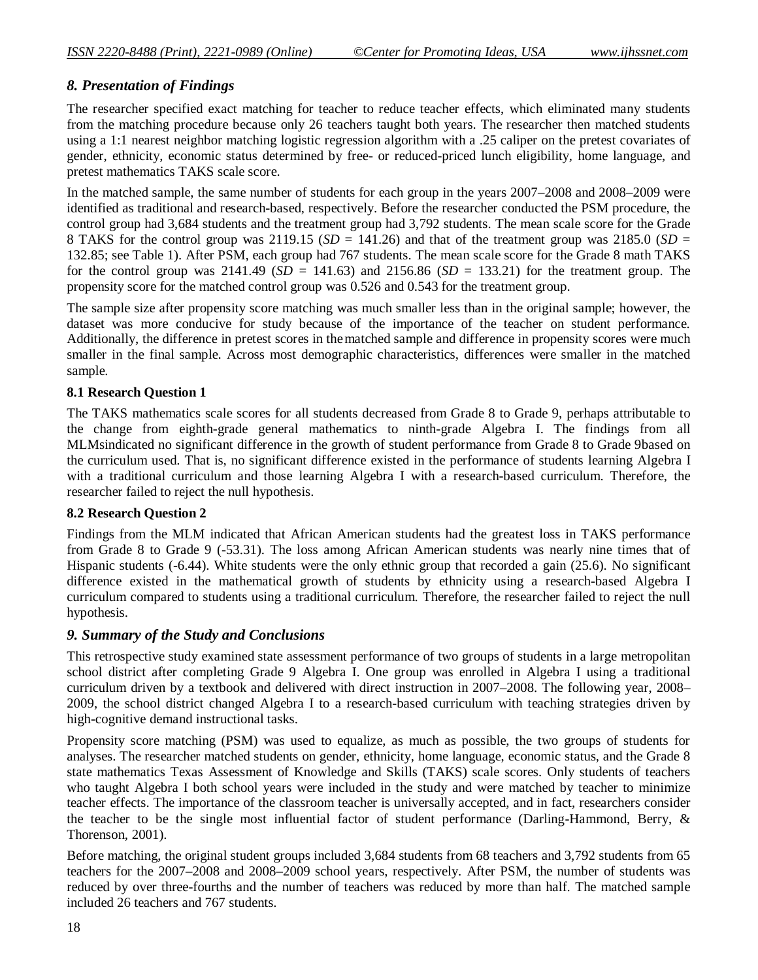# *8. Presentation of Findings*

The researcher specified exact matching for teacher to reduce teacher effects, which eliminated many students from the matching procedure because only 26 teachers taught both years. The researcher then matched students using a 1:1 nearest neighbor matching logistic regression algorithm with a .25 caliper on the pretest covariates of gender, ethnicity, economic status determined by free- or reduced-priced lunch eligibility, home language, and pretest mathematics TAKS scale score.

In the matched sample, the same number of students for each group in the years 2007–2008 and 2008–2009 were identified as traditional and research-based, respectively. Before the researcher conducted the PSM procedure, the control group had 3,684 students and the treatment group had 3,792 students. The mean scale score for the Grade 8 TAKS for the control group was 2119.15 ( $SD = 141.26$ ) and that of the treatment group was 2185.0 ( $SD =$ 132.85; see Table 1). After PSM, each group had 767 students. The mean scale score for the Grade 8 math TAKS for the control group was  $2141.49$  ( $SD = 141.63$ ) and  $2156.86$  ( $SD = 133.21$ ) for the treatment group. The propensity score for the matched control group was 0.526 and 0.543 for the treatment group.

The sample size after propensity score matching was much smaller less than in the original sample; however, the dataset was more conducive for study because of the importance of the teacher on student performance. Additionally, the difference in pretest scores in thematched sample and difference in propensity scores were much smaller in the final sample. Across most demographic characteristics, differences were smaller in the matched sample.

### **8.1 Research Question 1**

The TAKS mathematics scale scores for all students decreased from Grade 8 to Grade 9, perhaps attributable to the change from eighth-grade general mathematics to ninth-grade Algebra I. The findings from all MLMsindicated no significant difference in the growth of student performance from Grade 8 to Grade 9based on the curriculum used. That is, no significant difference existed in the performance of students learning Algebra I with a traditional curriculum and those learning Algebra I with a research-based curriculum. Therefore, the researcher failed to reject the null hypothesis.

#### **8.2 Research Question 2**

Findings from the MLM indicated that African American students had the greatest loss in TAKS performance from Grade 8 to Grade 9 (-53.31). The loss among African American students was nearly nine times that of Hispanic students (-6.44). White students were the only ethnic group that recorded a gain (25.6). No significant difference existed in the mathematical growth of students by ethnicity using a research-based Algebra I curriculum compared to students using a traditional curriculum. Therefore, the researcher failed to reject the null hypothesis.

### *9. Summary of the Study and Conclusions*

This retrospective study examined state assessment performance of two groups of students in a large metropolitan school district after completing Grade 9 Algebra I. One group was enrolled in Algebra I using a traditional curriculum driven by a textbook and delivered with direct instruction in 2007–2008. The following year, 2008– 2009, the school district changed Algebra I to a research-based curriculum with teaching strategies driven by high-cognitive demand instructional tasks.

Propensity score matching (PSM) was used to equalize, as much as possible, the two groups of students for analyses. The researcher matched students on gender, ethnicity, home language, economic status, and the Grade 8 state mathematics Texas Assessment of Knowledge and Skills (TAKS) scale scores. Only students of teachers who taught Algebra I both school years were included in the study and were matched by teacher to minimize teacher effects. The importance of the classroom teacher is universally accepted, and in fact, researchers consider the teacher to be the single most influential factor of student performance (Darling-Hammond, Berry, & Thorenson, 2001).

Before matching, the original student groups included 3,684 students from 68 teachers and 3,792 students from 65 teachers for the 2007–2008 and 2008–2009 school years, respectively. After PSM, the number of students was reduced by over three-fourths and the number of teachers was reduced by more than half. The matched sample included 26 teachers and 767 students.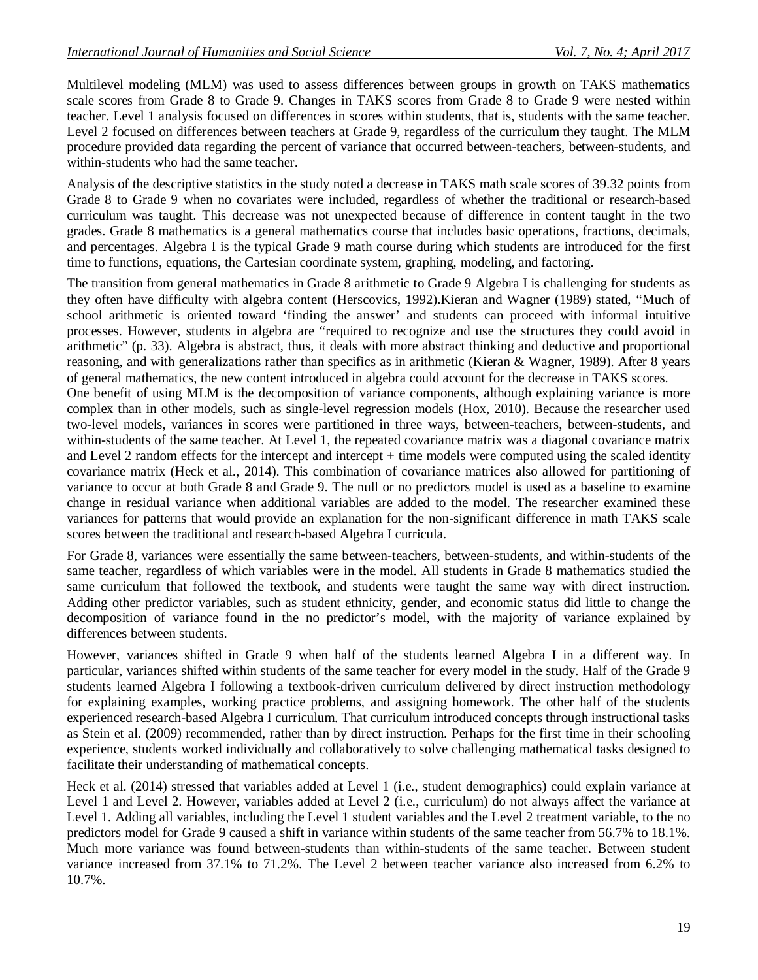Multilevel modeling (MLM) was used to assess differences between groups in growth on TAKS mathematics scale scores from Grade 8 to Grade 9. Changes in TAKS scores from Grade 8 to Grade 9 were nested within teacher. Level 1 analysis focused on differences in scores within students, that is, students with the same teacher. Level 2 focused on differences between teachers at Grade 9, regardless of the curriculum they taught. The MLM procedure provided data regarding the percent of variance that occurred between-teachers, between-students, and within-students who had the same teacher.

Analysis of the descriptive statistics in the study noted a decrease in TAKS math scale scores of 39.32 points from Grade 8 to Grade 9 when no covariates were included, regardless of whether the traditional or research-based curriculum was taught. This decrease was not unexpected because of difference in content taught in the two grades. Grade 8 mathematics is a general mathematics course that includes basic operations, fractions, decimals, and percentages. Algebra I is the typical Grade 9 math course during which students are introduced for the first time to functions, equations, the Cartesian coordinate system, graphing, modeling, and factoring.

The transition from general mathematics in Grade 8 arithmetic to Grade 9 Algebra I is challenging for students as they often have difficulty with algebra content (Herscovics, 1992).Kieran and Wagner (1989) stated, "Much of school arithmetic is oriented toward 'finding the answer' and students can proceed with informal intuitive processes. However, students in algebra are "required to recognize and use the structures they could avoid in arithmetic" (p. 33). Algebra is abstract, thus, it deals with more abstract thinking and deductive and proportional reasoning, and with generalizations rather than specifics as in arithmetic (Kieran & Wagner, 1989). After 8 years of general mathematics, the new content introduced in algebra could account for the decrease in TAKS scores.

One benefit of using MLM is the decomposition of variance components, although explaining variance is more complex than in other models, such as single-level regression models (Hox, 2010). Because the researcher used two-level models, variances in scores were partitioned in three ways, between-teachers, between-students, and within-students of the same teacher. At Level 1, the repeated covariance matrix was a diagonal covariance matrix and Level 2 random effects for the intercept and intercept + time models were computed using the scaled identity covariance matrix (Heck et al., 2014). This combination of covariance matrices also allowed for partitioning of variance to occur at both Grade 8 and Grade 9. The null or no predictors model is used as a baseline to examine change in residual variance when additional variables are added to the model. The researcher examined these variances for patterns that would provide an explanation for the non-significant difference in math TAKS scale scores between the traditional and research-based Algebra I curricula.

For Grade 8, variances were essentially the same between-teachers, between-students, and within-students of the same teacher, regardless of which variables were in the model. All students in Grade 8 mathematics studied the same curriculum that followed the textbook, and students were taught the same way with direct instruction. Adding other predictor variables, such as student ethnicity, gender, and economic status did little to change the decomposition of variance found in the no predictor's model, with the majority of variance explained by differences between students.

However, variances shifted in Grade 9 when half of the students learned Algebra I in a different way. In particular, variances shifted within students of the same teacher for every model in the study. Half of the Grade 9 students learned Algebra I following a textbook-driven curriculum delivered by direct instruction methodology for explaining examples, working practice problems, and assigning homework. The other half of the students experienced research-based Algebra I curriculum. That curriculum introduced concepts through instructional tasks as Stein et al. (2009) recommended, rather than by direct instruction. Perhaps for the first time in their schooling experience, students worked individually and collaboratively to solve challenging mathematical tasks designed to facilitate their understanding of mathematical concepts.

Heck et al. (2014) stressed that variables added at Level 1 (i.e., student demographics) could explain variance at Level 1 and Level 2. However, variables added at Level 2 (i.e., curriculum) do not always affect the variance at Level 1. Adding all variables, including the Level 1 student variables and the Level 2 treatment variable, to the no predictors model for Grade 9 caused a shift in variance within students of the same teacher from 56.7% to 18.1%. Much more variance was found between-students than within-students of the same teacher. Between student variance increased from 37.1% to 71.2%. The Level 2 between teacher variance also increased from 6.2% to 10.7%.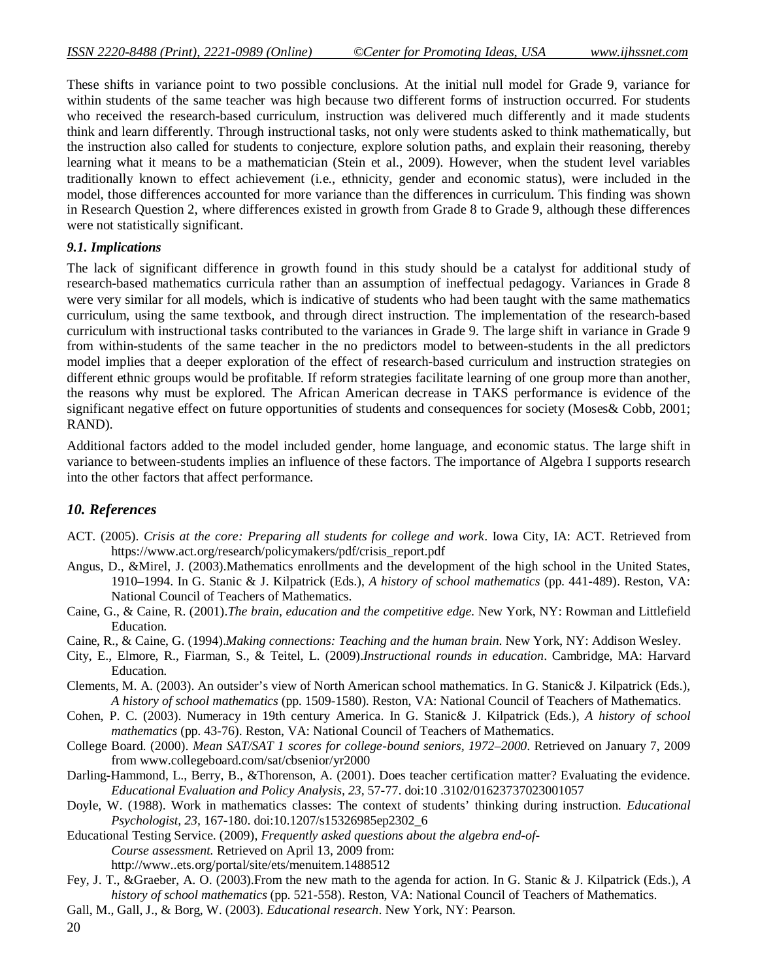These shifts in variance point to two possible conclusions. At the initial null model for Grade 9, variance for within students of the same teacher was high because two different forms of instruction occurred. For students who received the research-based curriculum, instruction was delivered much differently and it made students think and learn differently. Through instructional tasks, not only were students asked to think mathematically, but the instruction also called for students to conjecture, explore solution paths, and explain their reasoning, thereby learning what it means to be a mathematician (Stein et al., 2009). However, when the student level variables traditionally known to effect achievement (i.e., ethnicity, gender and economic status), were included in the model, those differences accounted for more variance than the differences in curriculum. This finding was shown in Research Question 2, where differences existed in growth from Grade 8 to Grade 9, although these differences were not statistically significant.

#### *9.1. Implications*

The lack of significant difference in growth found in this study should be a catalyst for additional study of research-based mathematics curricula rather than an assumption of ineffectual pedagogy. Variances in Grade 8 were very similar for all models, which is indicative of students who had been taught with the same mathematics curriculum, using the same textbook, and through direct instruction. The implementation of the research-based curriculum with instructional tasks contributed to the variances in Grade 9. The large shift in variance in Grade 9 from within-students of the same teacher in the no predictors model to between-students in the all predictors model implies that a deeper exploration of the effect of research-based curriculum and instruction strategies on different ethnic groups would be profitable. If reform strategies facilitate learning of one group more than another, the reasons why must be explored. The African American decrease in TAKS performance is evidence of the significant negative effect on future opportunities of students and consequences for society (Moses& Cobb, 2001; RAND).

Additional factors added to the model included gender, home language, and economic status. The large shift in variance to between-students implies an influence of these factors. The importance of Algebra I supports research into the other factors that affect performance.

### *10. References*

- ACT. (2005). *Crisis at the core: Preparing all students for college and work*. Iowa City, IA: ACT. Retrieved from https://www.act.org/research/policymakers/pdf/crisis\_report.pdf
- Angus, D., &Mirel, J. (2003).Mathematics enrollments and the development of the high school in the United States, 1910–1994. In G. Stanic & J. Kilpatrick (Eds.), *A history of school mathematics* (pp. 441-489). Reston, VA: National Council of Teachers of Mathematics.
- Caine, G., & Caine, R. (2001).*The brain, education and the competitive edge.* New York, NY: Rowman and Littlefield Education.
- Caine, R., & Caine, G. (1994).*Making connections: Teaching and the human brain*. New York, NY: Addison Wesley.
- City, E., Elmore, R., Fiarman, S., & Teitel, L. (2009).*Instructional rounds in education*. Cambridge, MA: Harvard Education.
- Clements, M. A. (2003). An outsider's view of North American school mathematics. In G. Stanic& J. Kilpatrick (Eds.), *A history of school mathematics* (pp. 1509-1580). Reston, VA: National Council of Teachers of Mathematics.
- Cohen, P. C. (2003). Numeracy in 19th century America. In G. Stanic& J. Kilpatrick (Eds.), *A history of school mathematics* (pp. 43-76). Reston, VA: National Council of Teachers of Mathematics.
- College Board. (2000). *Mean SAT/SAT 1 scores for college-bound seniors, 1972–2000*. Retrieved on January 7, 2009 from www.collegeboard.com/sat/cbsenior/yr2000
- Darling-Hammond, L., Berry, B., &Thorenson, A. (2001). Does teacher certification matter? Evaluating the evidence. *Educational Evaluation and Policy Analysis, 23,* 57-77. doi:10 .3102/01623737023001057
- Doyle, W. (1988). Work in mathematics classes: The context of students' thinking during instruction. *Educational Psychologist, 23,* 167-180. doi:10.1207/s15326985ep2302\_6
- Educational Testing Service. (2009), *Frequently asked questions about the algebra end-of-Course assessment.* Retrieved on April 13, 2009 from: http://www..ets.org/portal/site/ets/menuitem.1488512
- Fey, J. T., &Graeber, A. O. (2003).From the new math to the agenda for action. In G. Stanic & J. Kilpatrick (Eds.), *A history of school mathematics* (pp. 521-558). Reston, VA: National Council of Teachers of Mathematics.
- Gall, M., Gall, J., & Borg, W. (2003). *Educational research*. New York, NY: Pearson.